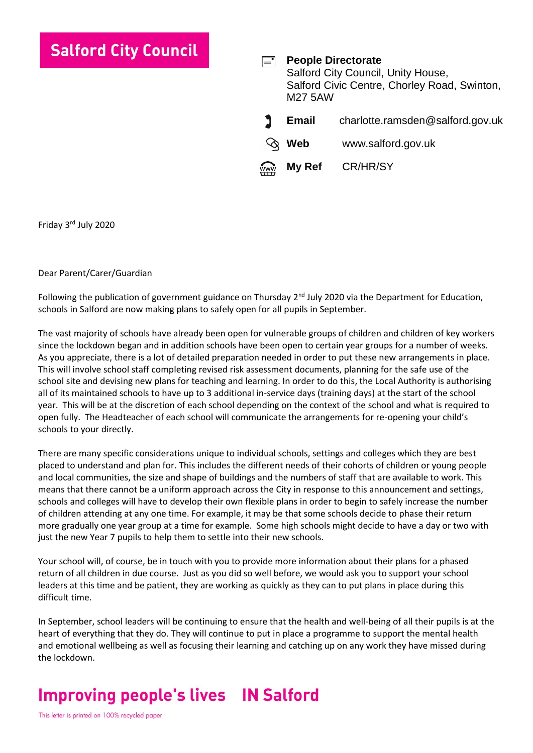### **Salford City Council**

**People Directorate**  $=$   $\overline{ }$ Salford City Council, Unity House, Salford Civic Centre, Chorley Road, Swinton, M27 5AW **Email** charlotte.ramsden@salford.gov.uk **Web** [www.salford.gov.uk](http://www.salford.gov.uk/)

**My Ref** CR/HR/SY

Friday 3rd July 2020

#### Dear Parent/Carer/Guardian

Following the publication of government guidance on Thursday 2<sup>nd</sup> July 2020 via the Department for Education, schools in Salford are now making plans to safely open for all pupils in September.

The vast majority of schools have already been open for vulnerable groups of children and children of key workers since the lockdown began and in addition schools have been open to certain year groups for a number of weeks. As you appreciate, there is a lot of detailed preparation needed in order to put these new arrangements in place. This will involve school staff completing revised risk assessment documents, planning for the safe use of the school site and devising new plans for teaching and learning. In order to do this, the Local Authority is authorising all of its maintained schools to have up to 3 additional in-service days (training days) at the start of the school year. This will be at the discretion of each school depending on the context of the school and what is required to open fully. The Headteacher of each school will communicate the arrangements for re-opening your child's schools to your directly.

There are many specific considerations unique to individual schools, settings and colleges which they are best placed to understand and plan for. This includes the different needs of their cohorts of children or young people and local communities, the size and shape of buildings and the numbers of staff that are available to work. This means that there cannot be a uniform approach across the City in response to this announcement and settings, schools and colleges will have to develop their own flexible plans in order to begin to safely increase the number of children attending at any one time. For example, it may be that some schools decide to phase their return more gradually one year group at a time for example. Some high schools might decide to have a day or two with just the new Year 7 pupils to help them to settle into their new schools.

Your school will, of course, be in touch with you to provide more information about their plans for a phased return of all children in due course. Just as you did so well before, we would ask you to support your school leaders at this time and be patient, they are working as quickly as they can to put plans in place during this difficult time.

In September, school leaders will be continuing to ensure that the health and well-being of all their pupils is at the heart of everything that they do. They will continue to put in place a programme to support the mental health and emotional wellbeing as well as focusing their learning and catching up on any work they have missed during the lockdown.

# **Improving people's lives IN Salford**

This letter is printed on 100% recycled paper